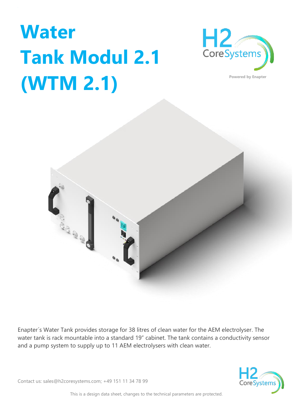## **Water Tank Modul 2.1 (WTM 2.1)**





Enapter´s Water Tank provides storage for 38 litres of clean water for the AEM electrolyser. The water tank is rack mountable into a standard 19" cabinet. The tank contains a conductivity sensor and a pump system to supply up to 11 AEM electrolysers with clean water.





This is a design data sheet, changes to the technical parameters are protected.